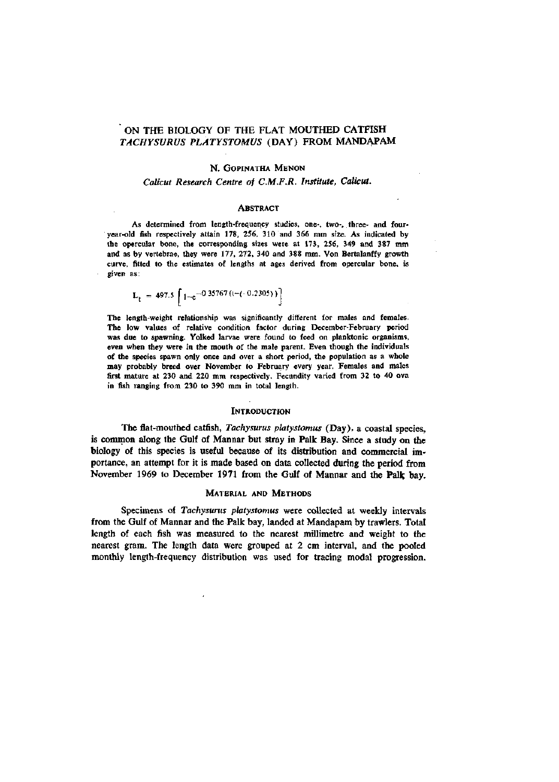# ON THE BIOLOGY OF THE FLAT MOUTHED CATFISH *TACHYSURUS PLATYSTOMUS* (DAY) FROM MANDAPAM

## N. GOPINATHA MENON

## Calicut Research Centre of C.M.F.R. Institute, Calicut. *Calicut Research Centre of C.M.F.R. Institute, Calicut.*

#### **ABSTRACT**

As determined from length-frequency studies, one-, two-, three- and fouryear-old fish respectively attain 178, 256, 310 and 366 mm size. As indicated by the opercular bone, the corresponding sizes were at 173, 256, 349 and 387 mm and as by vertebrae, they were 177, 272, 340 and 388 mm. Von Bertalanffy growth and as  $\sigma$  as by vertebra extension of the state of a case defined from anomalist home is verve, annou to the estimates of lengths at ages derived from operator bone, is a<br>Allen ho: given as:

$$
L_{t} = 497.5 \left[ 1 - e^{-0.35767 ((-(-0.2305))} \right]
$$

The length-weight relationship was significantly different for males and females. The low values of relative condition factor during December-February period was due to spawning. Yolked larvae were found to feed on planktonic organisms, even when they were in the mouth of the male parent. Even though the individuals of the species spawn only once and over a short period, the population as a whole may probably breed over November to February every year. Females and males first mature at 230 and 220 mm respectively. Fecundity varied from 32 to 40 ova in fish ranging from 230 to 390 mm in total length.

#### **INTRODUCTION**

The flat-mouthed catfish, *Tachysurus platystomus* (Day), a coastal species, is common along the Gulf of Mannar but stray in Palk Bay. Since a study on the biology of this species is useful because of its distribution and commercial importance, an attempt for it is made based on data collected during the period from November 1969 to December 1971 from the Gulf of Mannar and the Palk bay.

# MATERIAL AND METHODS

Specimens of *Tachysurus platystomus* were collected at weekly intervals from the Gulf of Mannar and the Palk bay, landed at Mandapam by trawlers. Total length of each fish was measured to the nearest millimetre and weight to the nearest gram. The length data were grouped at 2 cm interval, and the pooled monthly length-frequency distribution was used for tracing modal progression.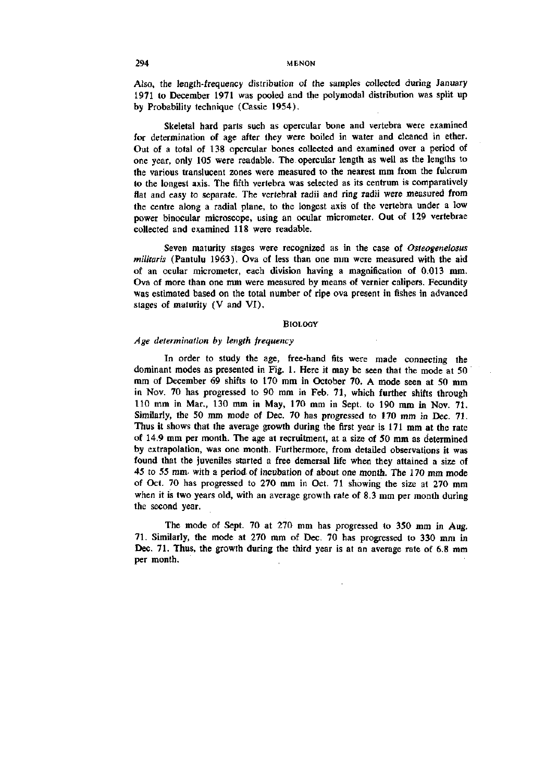Also, the length-frequency distribution of the samples collected during January 1971 to December 1971 was pooled and the poly modal distribution was split up by Probability technique (Cassie 1954).

Skeletal hard parts such as opercular bone and vertebra were examined for determination of age after they were boiled in water and cleaned in ether. Out of a total of 138 opercular bones collected and examined over a period of one year, only 105 were readable. The opercular length as well as the lengths to the various translucent zones were measured to the nearest mm from the fulcrum to the longest axis. The fifth vertebra was selected as its centrum is comparatively flat and easy to separate. The vertebral radii and ring radii were measured from the centre along a radial plane, to the longest axis of the vertebra under a low power binocular microscope, using an ocular micrometer. Out of 129 vertebrae collected and examined 118 were readable.

Seven maturity stages were recognized as in the case of *Osteageneiosus militaris* (Pantulu 1963), Ova of less than one mm were measured with the aid of an ocular micrometer, each division having a magnification of 0.013 mm. Ova of more than one mm were measured by means of vernier calipers. Fecundity was estimated based on the total number of ripe ova present in fishes in advanced stages of maturity (V and VI).

## **BIOLOGY**

#### *Age determination by length frequency*

In order to study the age, free-hand fits were made connecting the dominant modes as presented in Fig. 1. Here it may be seen that the mode at 50 mm of December 69 shifts to 170 mm in October 70. A mode seen at 50 mm in Nov. 70 has progressed to 90 mm in Feb. 71, which further shifts through 110 mm in Mar., 130 mm in May, 170 mm in Sept. to 190 mm in Nov. 71. Similarly, the 50 mm mode of Dec. 70 has progressed to 170 mm in Dec. 71. Thus it shows that the average growth during the first year is 171 mm at the rate of 14.9 mm per month. The age at recruitment, at a size of 50 mm as determined by extrapolation, was one month. Furthermore, from detailed observations it was found that the juveniles started a free demersal life when they attained a size of 45 to 55 mm. with a period of incubation of about one month. The 170 mm mode of Oct. 70 has progressed to 270 mm in Oct. 71 showing the size at 270 mm when it is two years old, with an average growth rate of 8.3 mm per month during the second year.

The mode of Sept. 70 at 270 mm has progressed to 350 mm in Aug. 71. Similarly, the mode at 270 mm of Dec. 70 has progressed to 330 mm in Dec. 71. Thus, the growth during the third year is at an average rate of 6.8 mm per month.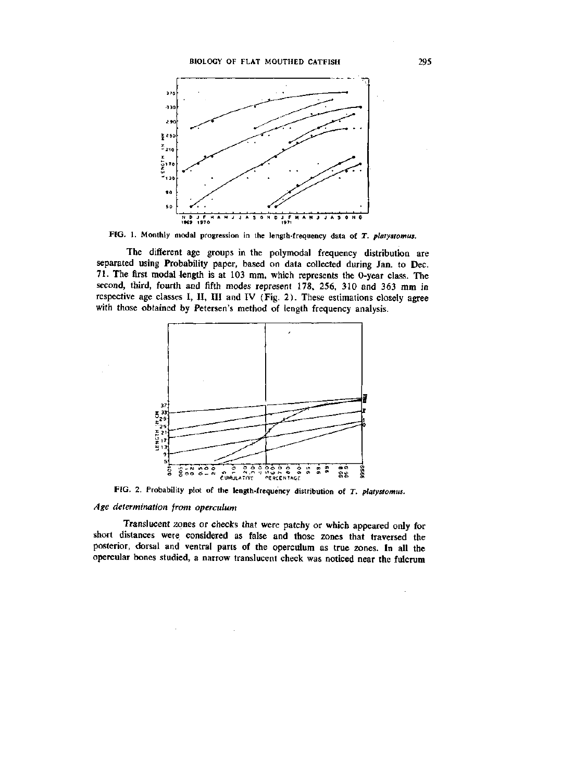# BIOLOGY OF FLAT MOUTHED CATFISH 295



FIG. 1. Monthly modal progression in the length-frequency data of T. *platystomus.* 

The different age groups in the polymodal frequency distribution are separated using Probability paper, based on data collected during Jan. to Dec. 71. The first modal 4ength is at 103 mm, which represents the 0-year class. The second, third, fourth and fifth modes represent 178, 256, 310 and 363 mm in respective age classes I, II, III and IV (Fig. 2). These estimations closely agree with those obtained by Petersen's method of length frequency analysis.



FIG. 2. Probability plot of the length-frequency distribution of *T. platystomus.* 

# *Age determination from operculum*

Translucent zones or checks that were patchy or which appeared only for short distances were considered as false and those zones that traversed the posterior, dorsal and ventral parts of the operculum as true zones. In all the opercular bones studied, a narrow translucent check was noticed near the fulcrum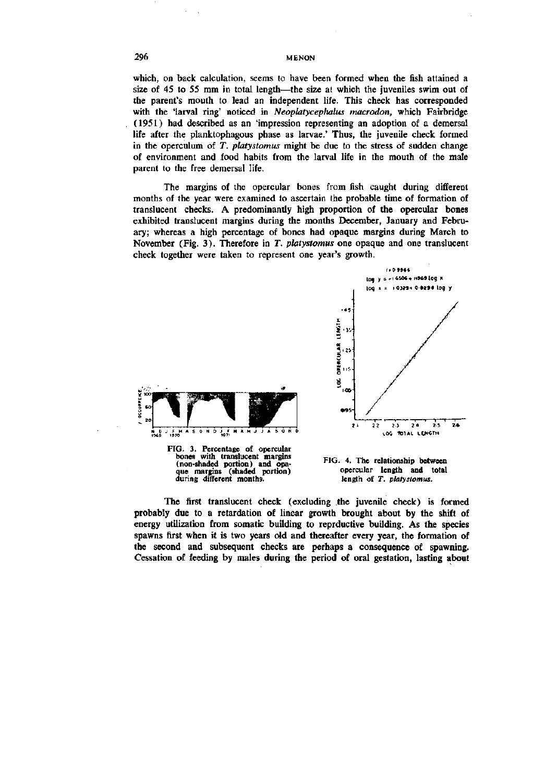which, on back calculation, seems to have been formed when the fish attained a size of 45 to 55 mm in total length—the size at which the juveniles swim out of the parent's mouth to lead an independent life. This check has corresponded with the 'larval ring' noticed in *Neoplatycephalus macrodon,* which Fairbridge (1951) had described as an 'impression representing an adoption of a demersal life after the planktophagous phase as larvae.' Thus, the juvenile check formed in the operculum of *T. platystomus* might be due to the stress of sudden change of environment and food habits from the larval life in the mouth of the male parent to the free demersal life.

The margins of the opercular bones from fish caught during different months of the year were examined to ascertain the probable time of formation of translucent checks. A predominantly high proportion of the opercular bones exhibited translucent margins during the months December, January and February; whereas a high percentage of bones had opaque margins during March to November (Fig. 3). Therefore in *T. platystomus* one opaque and one translucent check together were taken to represent one year's growth.

**t'Y.** 

OPERCULAR

ğ 105

**•95 -**



FIG. 3. Percentage of opercular bones with translucent margins (non-shaded portion) and opa-que margins (shaded portion) during different months.



**-1 1— 1 1 r-—1 1 1 1 1 ? l 2 2 2 5 2 « 2-5 2 » 1.00 101AL LO«CTM** 

*\o^* **y - -' 6S06\* H>69(o9 X loq > : lO]?!-\* 0 629S I09 /** 

1109966

The first translucent check (excluding the juvenile check) is formed probably due to a retardation of linear growth brought about by the shift of energy utilization from somatic building to reprductive building. As the species spawns first when it is two years old and thereafter every year, the formation of the second and subsequent checks are perhaps a consequence of spawning. Cessation of feeding by males during the period of oral gestation, lasting about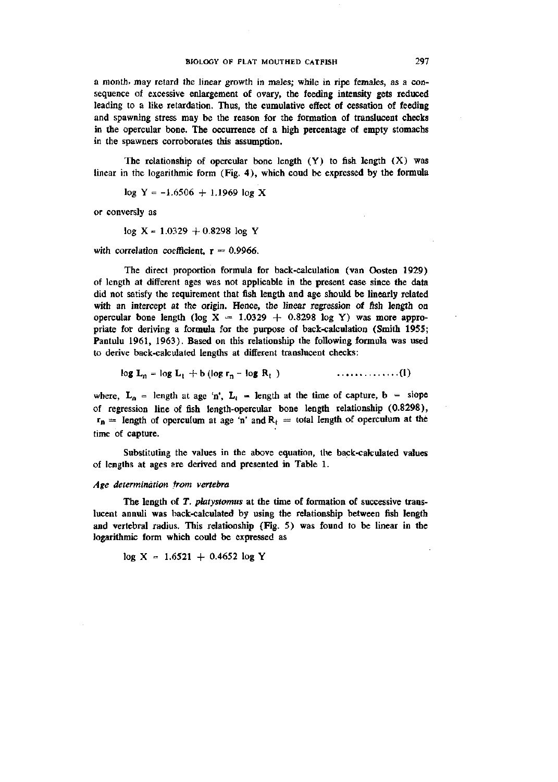a month, may retard the linear growth in males; while in ripe females, as a consequence of excessive enlargement of ovary, the feeding intensity gets reduced leading to a like retardation. Thus, the cumulative effect of cessation of feeding and spawning stress may be the reason for the formation of translucent checks in the opercular bone. The occurrence of a high percentage of empty stomachs in the spawners corroborates this assumption.

The relationship of opercular bone length  $(Y)$  to fish length  $(X)$  was linear in the logarithmic form (Fig. 4), which coud be expressed by the formula

 $log Y = -1.6506 + 1.1969 log X$ 

or conversly as

 $log X = 1.0329 + 0.8298 log Y$ 

with correlation coefficient,  $r = 0.9966$ .

The direct proportion formula for back-calculation (van Oosten 1929) of length at different ages was not applicable in the present case since the data did not satisfy the requirement that fish length and age should be linearly related with an intercept at the origin. Hence, the linear regression of fish length on opercular bone length (log  $X = 1.0329 + 0.8298$  log Y) was more appropriate for deriving a formula for the purpose of back-calculation (Smith 1955; Pantulu 1961, 1963). Based on this relationship the following formula was used to derive back-calculated lengths at different translucent checks:

$$
\log L_n = \log L_t + b \left( \log r_n - \log R_t \right) \qquad \qquad \ldots \ldots \ldots \ldots \ldots (1)
$$

where,  $L_n$  = length at age 'n',  $L_t$  = length at the time of capture, b = slope of regression line of fish length-opercular bone length relationship (0.8298),  $r_n$  = length of operculum at age 'n' and  $R_t$  = total length of operculum at the time of capture.

Substituting the values in the above equation, the back-calculated values of lengths at ages are derived and presented in Table 1.

#### *Age determination from vertebra*

The length of *T. platystomus* at the time of formation of successive translucent annuli was back-calculated by using the relationship between fish length and vertebral radius. This relationship (Fig. 5) was found to be linear in the logarithmic form which could be expressed as

$$
\log X = 1.6521 + 0.4652 \log Y
$$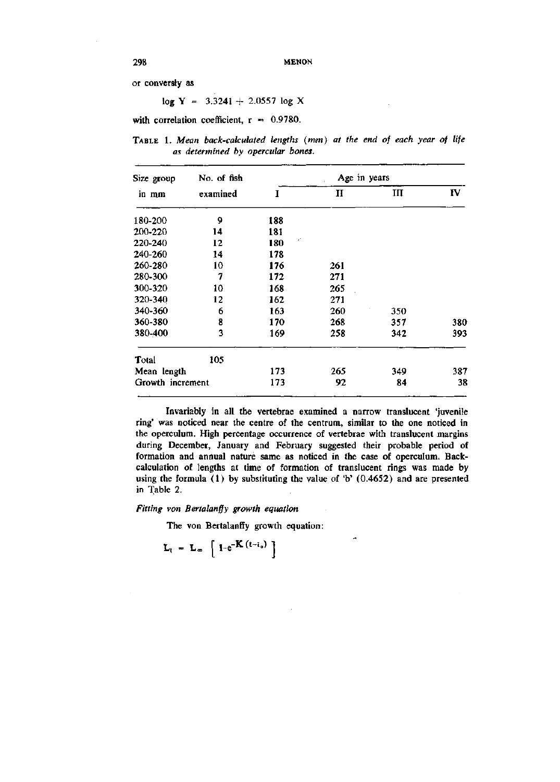or conversly as

 $log Y = 3.3241 + 2.0557 log X$ 

with correlation coefficient,  $r = 0.9780$ .

TABLE 1. *Mean back-calculated lengths (mm) at the end of each year of life as determined by opercular bones.* 

| Size group<br>in mm | No. of fish | Age in years |              |     |     |  |  |  |
|---------------------|-------------|--------------|--------------|-----|-----|--|--|--|
|                     | examined    | 1            | $\mathbf{H}$ | III | IV  |  |  |  |
| 180-200             | 9           | 188          |              |     |     |  |  |  |
| 200-220             | 14          | 181          |              |     |     |  |  |  |
| 220-240             | 12          | Ŧ,<br>180    |              |     |     |  |  |  |
| 240-260             | 14          | 178          |              |     |     |  |  |  |
| 260-280             | 10          | 176          | 261          |     |     |  |  |  |
| 280-300             | 7           | 172          | 271          |     |     |  |  |  |
| 300-320             | 10          | 168          | 265          |     |     |  |  |  |
| 320-340             | 12          | 162          | 271          |     |     |  |  |  |
| 340-360             | 6           | 163          | 260          | 350 |     |  |  |  |
| 360-380             | 8           | 170          | 268          | 357 | 380 |  |  |  |
| 380-400             | 3           | 169          | 258          | 342 | 393 |  |  |  |
| Total               | 105         |              |              |     |     |  |  |  |
| Mean length         |             | 173          | 265          | 349 | 387 |  |  |  |
| Growth increment    |             | 173          | 92           | 84  | 38  |  |  |  |

Invariably in all the vertebrae examined a narrow translucent 'juvenile ring' was noticed near the centre of the centrum, similar to the one noticed in the operculum. High percentage occurrence of vertebrae with translucent margins during December, January and February suggested their probable period of formation and annual nature same as noticed in the case of operculum. Backcalculation of lengths at time of formation of translucent rings was made by using the formula (1) by substituting the value of 'b' (0.4652) and are presented in Table 2.

*Fitting von Bertalanffy growth equation* 

The von Bertalanffy growth equation:

$$
L_t = L_{\infty} \left[ 1 - e^{-\mathbf{K} (t - t_{\circ})} \right]
$$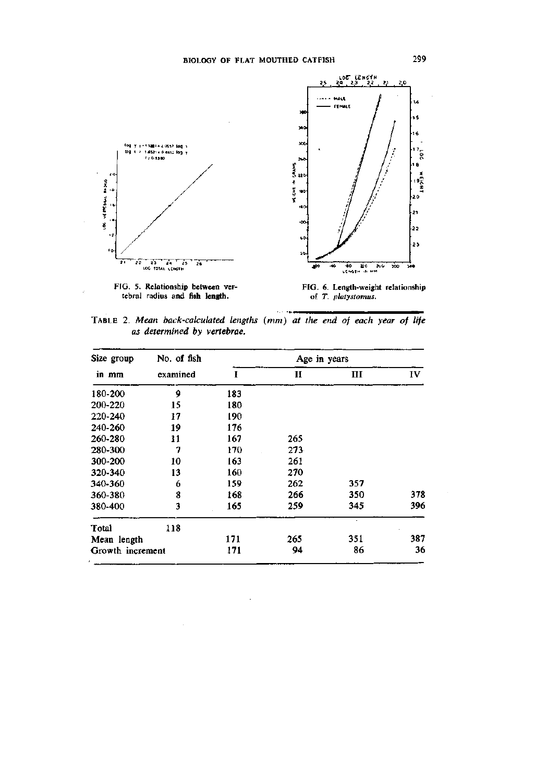

FIG. 5. Relationship **between** vertebral radius and **fish length.** 

FIG. 6. Length-weight relationship of T. *platystomus.* 

TABLE 2. *Mean back-calculated lengths (mm) at the end of each year of life as determined by vertebrae.* 

 $\alpha$  ,  $\alpha$  ,  $\alpha$  and

| Size group       | No. of fish |     | Age in years |     |     |  |  |  |  |
|------------------|-------------|-----|--------------|-----|-----|--|--|--|--|
| in mm            | examined    | I   | п            | Ш   | IV  |  |  |  |  |
| 180-200          | 9           | 183 |              |     |     |  |  |  |  |
| 200-220          | 15          | 180 |              |     |     |  |  |  |  |
| 220-240          | 17          | 190 |              |     |     |  |  |  |  |
| 240-260          | 19          | 176 |              |     |     |  |  |  |  |
| 260-280          | 11          | 167 | 265          |     |     |  |  |  |  |
| 280-300          | 7           | 170 | 273          |     |     |  |  |  |  |
| 300-200          | 10          | 163 | 261          |     |     |  |  |  |  |
| 320-340          | 13          | 160 | 270          |     |     |  |  |  |  |
| 340-360          | 6           | 159 | 262          | 357 |     |  |  |  |  |
| 360-380          | 8           | 168 | 266          | 350 | 378 |  |  |  |  |
| 380-400          | 3           | 165 | 259          | 345 | 396 |  |  |  |  |
| Total            | 118         |     |              |     |     |  |  |  |  |
| Mean length      |             | 171 | 265          | 351 | 387 |  |  |  |  |
| Growth increment |             | 171 | 94           | 86  | 36  |  |  |  |  |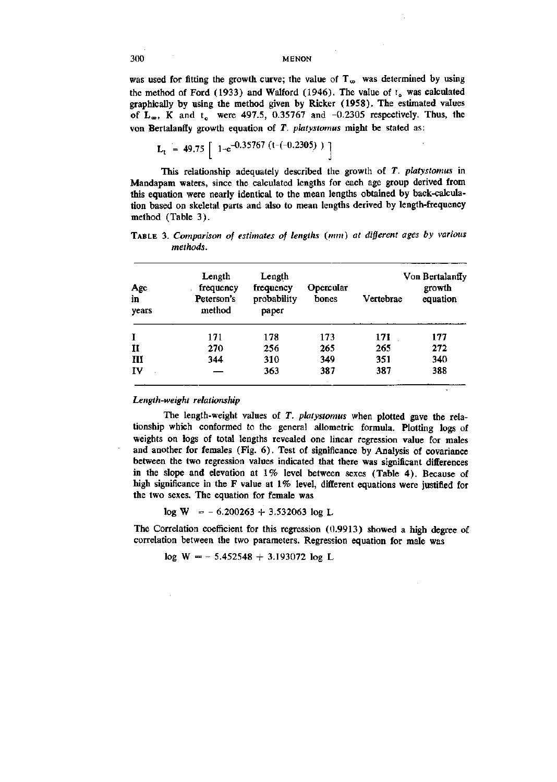was used for fitting the growth curve; the value of  $T_{\infty}$  was determined by using the method of Ford (1933) and Walford (1946). The value of  $t<sub>o</sub>$  was calculated graphically by using the method given by Ricker (1958). The estimated values of  $L_{\infty}$ , K and t<sub>o</sub> were 497.5, 0.35767 and  $-0.2305$  respectively. Thus, the von Bertalanffy growth equation of *T. platystomus* might be stated as:

$$
L_t = 49.75 \left[ 1 - e^{-0.35767 (t - (-0.2305))} \right]
$$

This relationship adequately described the growth of *T. platystomus* in Mandapam waters, since the calculated lengths for each age group derived from this equation were nearly identical to the mean lengths obtained by back-calculation based on skeletal parts and also to mean lengths derived by length-frequency method (Table 3).

TABLE 3. Comparison of estimates of lengths (mm) at different ages by various *methods.* 

| Age<br>in<br>years | Length<br>frequency<br>Peterson's<br>method | Length<br>frequency<br>probability<br>paper | Opercular<br>bones | Vertebrae | Von Bertalanffy<br>growth<br>equation |
|--------------------|---------------------------------------------|---------------------------------------------|--------------------|-----------|---------------------------------------|
| I                  | 171                                         | 178                                         | 173                | 171       | 177                                   |
| $\mathbf{I}$       | 270                                         | 256                                         | 265                | 265       | 272                                   |
| Ш                  | 344                                         | 310                                         | 349                | 351       | 340                                   |
| ĨV                 |                                             | 363                                         | 387                | 387       | 388                                   |

# *Length-weight relationship*

The length-weight values of *T. platystomus* when plotted gave the relationship which conformed to the general allometric formula. Plotting logs of weights on logs of total lengths revealed one linear regression value for males and another for females (Fig. 6). Test of significance by Analysis of covariance between the two regression values indicated that there was significant differences in the slope and elevation at 1% level between sexes (Table 4). Because of high significance in the F value at  $1\%$  level, different equations were justified for the two sexes. The equation for female was

 $log W = -6.200263 + 3.532063 log L$ 

The Correlation coefficient for this regression (0.9913) showed a high degree of correlation between the two parameters. Regression equation for male was

 $log W = -5.452548 + 3.193072 log L$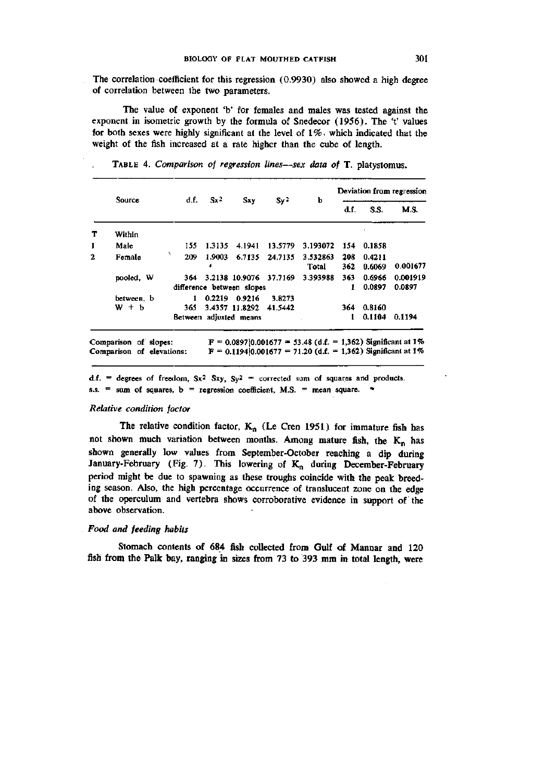The correlation coefficient for this regression (0.9930) also showed a high degree of correlation between the two parameters.

The value of exponent 'b' for females and males was tested against the exponent in isometric growth by the formula of Snedecor (1956). The 't' values for both sexes were highly significant at the level of  $1\%$ , which indicated that the weight of the fish increased at a rate higher than the cube of length.

|              | Source     |     | d.f.<br>$Sx^2$ | <b>Sxy</b>                                  | Sv <sup>2</sup> | Ъ                 | Deviation from regression |                  |                    |
|--------------|------------|-----|----------------|---------------------------------------------|-----------------|-------------------|---------------------------|------------------|--------------------|
|              |            |     |                |                                             |                 |                   | d.f.                      | S.S.             | <b>M.S.</b>        |
| т            | Within     |     |                |                                             |                 |                   |                           |                  |                    |
| 1            | Male       | 155 | 1.3135         | 4.1941                                      | 13.5779         | 3.193072          | 154                       | 0.1858           |                    |
| $\mathbf{2}$ | Female     | 209 | 1.9003         | 6.7135                                      | 24.7135         | 3.532863<br>Total | 208<br>362                | 0.4211<br>0.6069 | 0.001677           |
|              | pooled, W  | 364 |                | 3.2138 10.9076<br>difference between slopes | 37.7169         | 3.393988          | 363<br>1                  | 0.6966<br>0.0897 | 0.001919<br>0.0897 |
|              | between, b | 1   | 0.2219         | 0.9216                                      | 3.8273          |                   |                           |                  |                    |
|              | $W + b$    | 365 |                | 3.4357 11.8292                              | 41.5442         |                   | 364                       | 0.8160           |                    |
|              |            |     |                | Between adjusted means                      |                 |                   |                           | 0.1104           | 0.1194             |

TABLE 4. *Comparison of regression lines*—*sex data of* T. platystomus.

d.f. = degrees of freedom,  $Sx^2 Sxy$ ,  $Sy^2$  = corrected sum of squares and products. s.s.  $\equiv$  sum of squares, b = regression coefficient, M.S. = mean square.  $\sim$ 

## *Relative condition factor*

The relative condition factor,  $K_n$  (Le Cren 1951) for immature fish has not shown much variation between months. Among mature fish, the  $K_n$  has shown generally low values from September-October reaching a dip during January-February (Fig. 7). This lowering of  $K_n$  during December-February period might be due to spawning as these troughs coincide with the peak breeding season. Also, the high percentage occurrence of translucent zone on the edge of the operculum and vertebra shows corroborative evidence in support of the above observation.

# *Food and feeding habits*

Stomach contents of 684 fish collected from Gulf of Mannar and 120 fish from the Palk bay, ranging in sizes from 73 to 393 mm in total length, were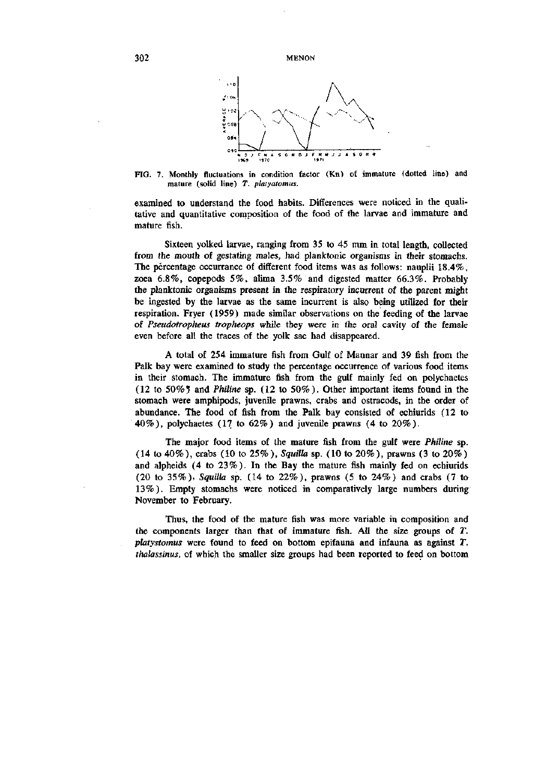

FIG. 7. Monthly fluctuations in condition factor (Kn) of immature (dotted line) and mature (solid line) T. *platyatomus.* 

examined to understand the food habits. Differences were noticed in the qualitative and quantitative composition of the food of the larvae and immature and mature fish.

Sixteen yolked larvae, ranging from 35 to 45 mm in total length, collected from the mouth of gestating males, had planktonic organisms in their stomachs. The percentage occurrance of different food items was as follows: nauplii 18.4%, zoea 6.8%, copepods 5%, alima 3.5% and digested matter 66.3%. Probably the planktonic organisms present in the respiratory incurrent of the parent might be ingested by the larvae as the same incurrent is also being utilized for their respiration. Fryer (1959) made similar observations on the feeding of the larvae of *Pseudotropheus tropheops* while they were in the oral cavity of the female even before all the traces of the yolk sac had disappeared.

A total of 254 immature fish from Gulf of Mannar and 39 fish from the Palk bay were examined to study the percentage occurrence of various food items in their stomach. The immature fish from the gulf mainly fed on polychaetes (12 to 50% 5 and *Philine* sp. (12 to 50%). Other important items found in the stomach were amphipods, juvenile prawns, crabs and ostracods, in the order of abundance. The food of fish from the Palk bay consisted of echiurids (12 to 40%), polychaetes (17 to 62%) and juvenile prawns (4 to 20%).

The major food items of the mature fish from the gulf were *Philine* sp. (14 to 40%), crabs (10 to 25%), *Squilla* sp. (10 to 20%), prawns (3 to 20%) and alpheids (4 to 23%). In the Bay the mature fish mainly fed on echiurids (20 to 35%), *Squilla* sp. (14 to 22%), prawns (5 to 24%) and crabs (7 to 13%). Empty stomachs were noticed in comparatively large numbers during November to February.

Thus, the food of the mature fish was more variable in composition and the components larger than that of immature fish. All the size groups of *T. platystomus* were found to feed on bottom epifauna and infauna as against *T. thalassinus,* of which the smaller size groups had been reported to feed on bottom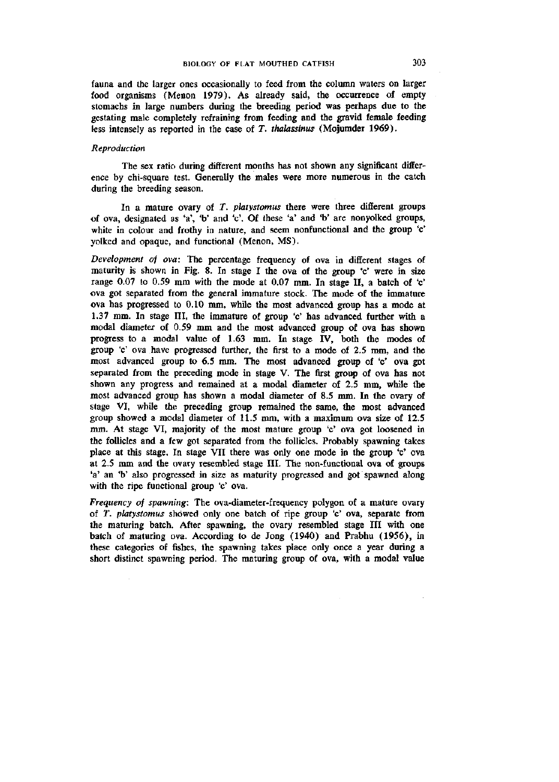fauna and the larger ones occasionally to feed from the column waters on larger food organisms (Menon 1979). As already said, the occurrence of empty stomachs in large numbers during the breeding period was perhaps due to the gestating male completely refraining from feeding and the gravid female feeding less intensely as reported in the case of *T. thalassinus* (Mojumder 1969).

### *Reproduction*

The sex ratio during different months has not shown any significant difference by chi-square test. Generally the males were more numerous in the catch during the breeding season.

In a mature ovary of *T. platystomus* there were three different groups of ova, designated as 'a', 'b' and 'c'. Of these 'a' and 'b' are nonyolked groups, white in colour and frothy in nature, and seem nonfunctional and the group 'c' yolked and opaque, and functional (Menon, MS).

*Development of ova:* The percentage frequency of ova in different stages of maturity is shown in Fig. 8. In stage I the ova of the group 'c' were in size range 0.07 to 0.59 mm with the mode at 0.07 mm. In stage II, a batch of 'c' ova got separated from the general immature stock. The mode of the immature ova has progressed to 0.10 mm, while the most advanced group has a mode at 1.37 mm. In stage III, the immature of group 'c' has advanced further with a modal diameter of 0.59 mm and the most advanced group of ova has shown progress to a modal value of 1.63 mm. In stage IV, both the modes of group 'c' ova have progressed further, the first to a mode of 2.5 mm, and the most advanced group to 6.5 mm. The most advanced group of 'c' ova got separated from the preceding mode in stage V. The first group of ova has not shown any progress and remained at a modal diameter of 2.5 mm, while the most advanced group has shown a modal diameter of 8.5 mm. In the ovary of stage VI, while the preceding group remained the same, the most advanced group showed a modal diameter of 11.5 mm, with a maximum ova size of 12.5 mm. At stage VI, majority of the most mature group 'c' ova got loosened in the follicles and a few got separated from the follicles. Probably spawning takes place at this stage. In stage VII there was only one mode in the group 'c' ova at 2.5 mm and the ovary resembled stage III. The non-functional ova of groups 'a' an 'b' also progressed in size as maturity progressed and got spawned along with the ripe functional group 'c' ova.

*Frequency of spawning:* The ova-diameter-frequency polygon of a mature ovary of *T. platystomus* showed only one batch of ripe group 'c' ova, separate from the maturing batch. After spawning, the ovary resembled stage III with one batch of maturing ova. According to de Jong (1940) and Prabhu (1956), in these categories of fishes, the spawning takes place only once a year during a short distinct spawning period. The maturing group of ova, with a modal value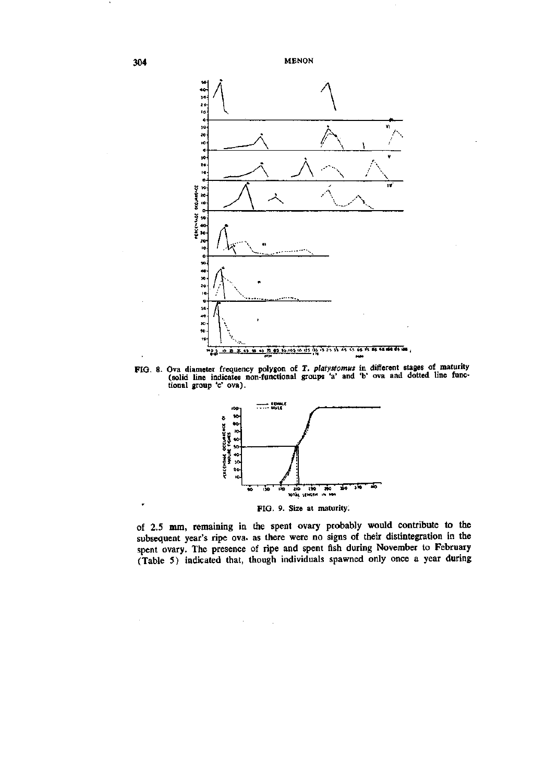

FIG. 8. Ova diameter frequency polygon of *T. platystomus* in different stages of maturity (solid line indicates non-functional groups 'a' and 'b' ova and dotted line functional group 'c' ova).



FIG. 9. Size at maturity.

of 2.5 mm, remaining in the spent ovary probably would contribute to the subsequent year's ripe ova. as there were no signs of their distintegration in the spent ovary. The presence of ripe and spent fish during November to February (Table 5) indicated that, though individuals spawned only once a year during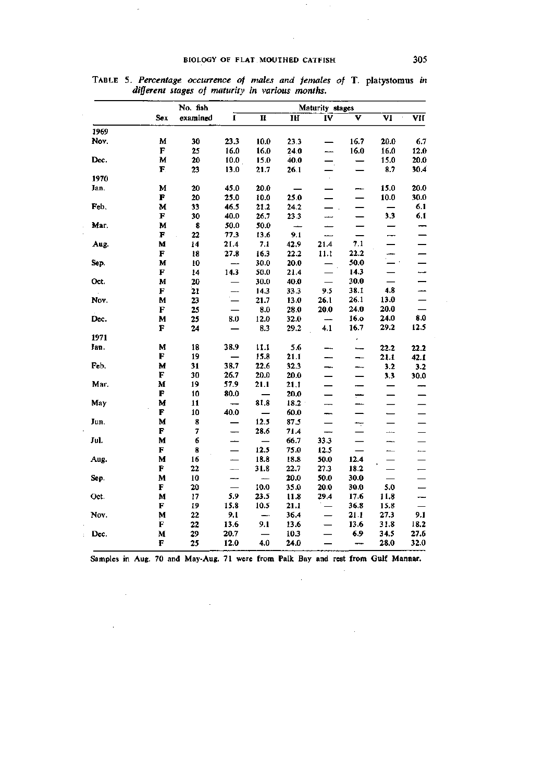# BIOLOGY OF FLAT MOUTHED CATFISH 305

 $\mathcal{O}(\mathcal{F}^{\mathcal{O}}_{\mathcal{O}})$  , where

 $\sim 1$ 

|      |             | Maturity stages |                          |                          |                          |                          |                          |                         |                          |
|------|-------------|-----------------|--------------------------|--------------------------|--------------------------|--------------------------|--------------------------|-------------------------|--------------------------|
|      | Sex         | examined        | L                        | $\mathbf{H}$             | I <sub>H</sub>           | ΪV                       | v                        | $\overline{\mathbf{v}}$ | $\overline{\text{VII}}$  |
| 1969 |             |                 |                          |                          |                          |                          |                          |                         |                          |
| Nov. | М           | 30              | 23.3                     | 10.0                     | 23.3                     |                          | 16.7                     | 20.0                    | 6.7                      |
|      | $\mathbf F$ | 25              | 16.0                     | 16.0                     | 24.0                     |                          | 16.0                     | 16.0                    | 12.0                     |
| Dec. | M           | 20              | 10.0 <sub>1</sub>        | 15.0                     | 40.0                     |                          | $\overline{\phantom{0}}$ | 15.0                    | 20.0                     |
|      | F.          | 23              | 13.0                     | 21.7                     | 26.1                     |                          |                          | 8.7                     | 30.4                     |
| 1970 |             |                 |                          |                          |                          | $\epsilon$               |                          |                         |                          |
| Jan. | M           | 20              | 45.0                     | 20.0                     |                          |                          | ——                       | 15.0                    | 20.0                     |
|      | F           | 20              | 25.0                     | 10.0                     | 25.0                     |                          |                          | 10.0                    | 30.0                     |
| Feb. | м           | 33              | 46.5                     | 21.2                     | 24.2                     |                          |                          |                         | 6.1                      |
|      | F           | 30              | 40.0                     | 26,7                     | 23.3                     | $\overline{\phantom{0}}$ |                          | 3.3                     | 6.1                      |
| Mar. | M           | 8               | 50.0                     | 50.0                     | $\overline{\phantom{a}}$ |                          |                          |                         |                          |
|      | F           | 22              | 77.3                     | 13.6                     | 9.1                      | للبعد                    |                          |                         |                          |
| Aug. | М           | 14              | 21.4                     | 7.1                      | 42.9                     | 21.4                     | 7.1                      |                         |                          |
|      | $\mathbf F$ | 18              | 27.8                     | 16.3                     | 22.2                     | 11.1                     | 22.2                     |                         |                          |
| Sep. | M           | 10              |                          | 30.0                     | 20.0                     |                          | 50.0                     |                         |                          |
|      | F           | 14              | 14.3                     | 50.0                     | 21.4                     |                          | 14.3                     |                         | ÷                        |
| Oct. | M           | 20              |                          | 30.0                     | 40.0                     | $\overline{\phantom{0}}$ | 30.0                     |                         |                          |
|      | F           | 21              |                          | 14.3                     | 33.3                     | 9.5                      | 38.1                     | 4.8                     | ——                       |
| Nov. | M           | 23              |                          | 21.7                     | 13.0                     | 26.1                     | 26.1                     | 13.0                    |                          |
|      | F           | 25              |                          | 8.0                      | 28.0                     | 20.0                     | 24.0                     | 20.0                    |                          |
| Dec. | М           | 25              | 8.0                      | 12.0                     | 32.0                     | ÷,                       | 16.0                     | 24.0                    | 8.0                      |
|      | F           | 24              |                          | 8.3                      | 29.2                     | 4.1                      | 16.7                     | 29.2                    | 12.5                     |
| 1971 |             |                 |                          |                          |                          |                          | $\epsilon$               |                         |                          |
| Jan. | $\mathbf M$ | 18              | 38.9                     | 11.1                     | 5.6                      |                          | -                        | 22.2                    | 22.2                     |
|      | F           | 19              |                          | 15.8                     | 21.1                     |                          |                          | 21.1                    | 42.1                     |
| Feb. | М           | 31              | 38.7                     | 22.6                     | 32.3                     |                          | ⊷                        | 3.2                     | 3.2                      |
|      | F           | 30              | 26.7                     | 20.0                     | 20.0                     |                          |                          | 3.3                     | 30.0                     |
| Mar. | М           | 19              | 57.9                     | 21.1                     | 21.1                     |                          |                          |                         |                          |
|      | F           | 10              | 80.0                     |                          | 20.0                     |                          |                          |                         |                          |
| May  | M           | 11              | $\overline{\phantom{0}}$ | 81.8                     | 18.2                     | --                       | —<br>——                  |                         |                          |
|      | F           | 10              | 40.0                     |                          | 60.0                     | ⊷.                       |                          |                         |                          |
| Jun. | М           | 8               |                          | 12.5                     | 87.5                     | $\overline{\phantom{0}}$ | ÷                        |                         |                          |
|      | F           | $\pmb{7}$       | --                       | 28.6                     | 71.4                     | —                        | —                        | ---                     |                          |
| Jul. | М           | 6               |                          | $\overline{\phantom{0}}$ | 66.7                     | 33.3                     | $\overline{\phantom{0}}$ |                         |                          |
|      | F           | 8               |                          | 12.5                     | 75.0                     | 12.5                     |                          |                         | ---                      |
| Aug. | М           | 16              |                          | 18.8                     | 18.8                     | 50.0                     | 12.4                     |                         |                          |
|      | F           | 22              | $\overline{\phantom{0}}$ | 31.8                     | 22.7                     | 27.3                     | 18.2                     |                         |                          |
| Sep. | M           | 10              | -                        |                          | 20.0                     | 50.0                     | 30.0                     |                         |                          |
|      | F           | 20              | $\overline{\phantom{0}}$ | 10.0                     | 35.0                     | 20.0                     | 30.0                     | 5.0                     | $\overline{\phantom{0}}$ |
| Oct. | M           | 17              | 5.9                      | 23.5                     | 11.8                     | 29,4                     | 17.6                     | 11.8                    | —                        |
|      | F           | 19              | 15.8                     | 10.5                     | 21.1                     |                          | 36.8                     | 15.8                    |                          |
| Nov. | М           | 22              | 9.1                      |                          | 36.4                     |                          | 21.1                     | 27.3                    | 9.1                      |
|      | F           | 22              | 13.6                     | 9.1                      | 13.6                     |                          | 13.6                     | 31.8                    | 18.2                     |
| Dec. | M           | 29              | 20.7                     |                          | 10.3                     |                          | 6.9                      | 34.5                    | 27.6                     |
|      | F           | 25              | 12.0                     | 4.0                      | 24.0                     |                          | -                        | 28.0                    | 32.0                     |

TABLE 5. *Percentage occurrence of males and females of* T. platystomus *in different stages of maturity in various months.* 

 $\bar{\gamma}$ 

 $\sim$ 

 $\overline{\phantom{a}}$ 

Samples in Aug. 70 and May-Aug. 71 were from Palk Bay and rest from Gulf Mannar.

 $\bar{z}$ 

 $\mathcal{A}$ 

 $\sim$ 

 $\mathcal{A}^{\prime}$ 

 $\sim$   $\sim$ 

 $\bar{z}$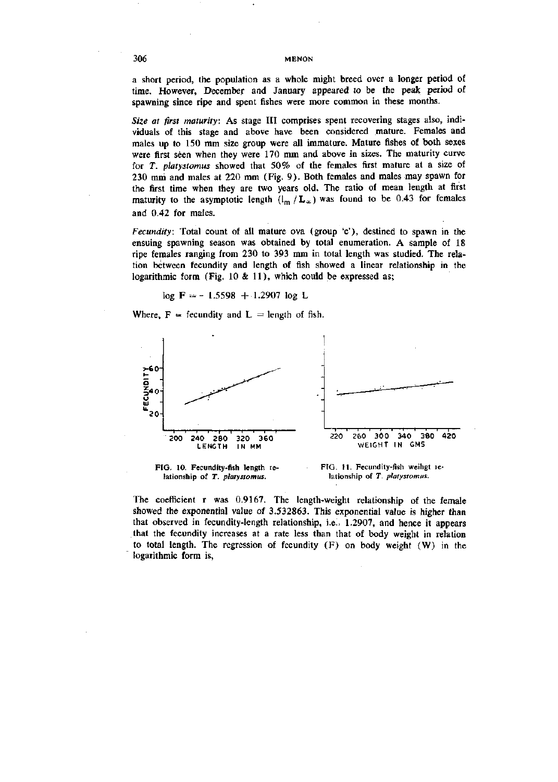a short period, the population as a whole might breed over a longer period of time. However, December and January appeared to be the peak period of spawning since ripe and spent fishes were more common in these months.

*Size at first maturity:* As stage III comprises spent recovering stages also, individuals of this stage and above have been considered mature. Females and males up to 150 mm size group were all immature. Mature fishes of both sexes were first seen when they were 170 mm and above in sizes. The maturity curve for *T. platystomus* showed that 50% of the females first mature at a size of 230 mm and males at 220 mm (Fig. 9). Both females and males may spawn for the first time when they are two years old. The ratio of mean length at first maturity to the asymptotic length  $(l_m/L_{\infty})$  was found to be 0.43 for females and 0.42 for males.

*Fecundity:* Total count of all mature ova (group 'c'), destined to spawn in the ensuing spawning season was obtained by total enumeration. A sample of 18 ripe females ranging from 230 to 393 mm in total length was studied. The relation between fecundity and length of fish showed a linear relationship in the logarithmic form (Fig. 10 & 11), which could be expressed as;

$$
\log \mathbf{F} = -1.5598 + 1.2907 \log \mathbf{L}
$$

Where,  $F =$  fecundity and  $L =$  length of fish.





FIG. 11. Fecundity-fish weihgt ielationship of *T. platystomus.* 

The coefficient r was 0.9167. The length-weight relationship of the female showed the exponential value of 3.532863. This exponential value is higher than that observed in fecundity-length relationship, i.e.. 1.2907, and hence it appears that the fecundity increases at a rate less than that of body weight in relation to total length. The regression of fecundity (F) on body weight (W) in the logarithmic form is.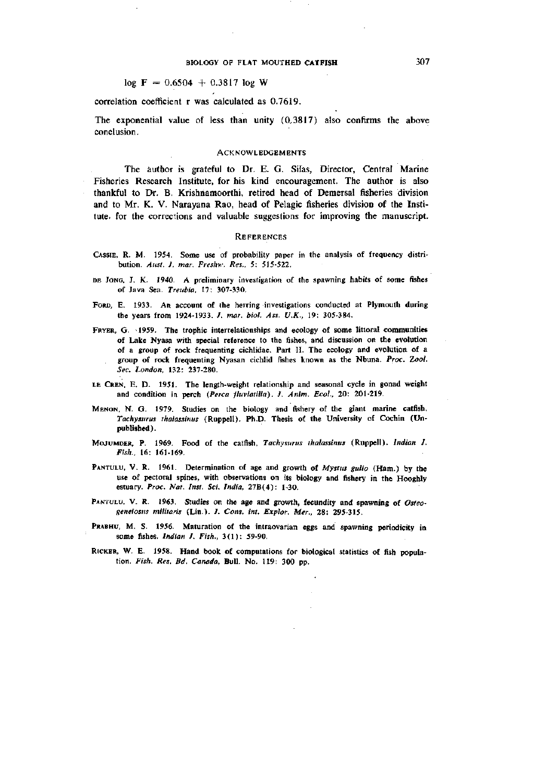# $log F = 0.6504 + 0.3817 log W$

correlation coefficient r was calculated as 0.7619.

The exponential value of less than unity (0.3817) also confirms the above conclusion.

#### ACKNOWLEDGEMENTS

The author is grateful to Dr. E. G. Silas, Director, Central Marine Fisheries Research Institute, for his kind encouragement. The author is also thankful to Dr. B. Krishnamoorthi, retired head of Demersal fisheries division and to Mr. K. V. Narayana Rao, head of Pelagic fisheries division of the Institute, for the corrections and valuable suggestions for improving the manuscript.

#### **REFERENCES**

- CASSIE, R. M. 1954. Some use of probability paper in the analysis of frequency distribution. *Aiist. J. mar. Freshw. Res., 5:* 515-522.
- DE JONG, J. K. 1940. A preliminary investigation of the spawning habits of some fishes of Java Sea. *Treubia,* 17: 307-330.
- FORD, E. 1933. An account of the herring investigations conducted at Plymouth during the years from 1924-1933. /. *mar. biol. Ass. U.K.,* 19: 305-384.
- FRYER, G. 1959. The trophic interrelationships and ecology of some littoral communities of Lake Nyasa with special reference to the fishes, and discussion on the evolution of a group of rock frequenting cichlidae. Part II. The ecology and evolution of a group of rock frequenting Nyasan cichlid fishes known as the Nbuna. *Proc. Zool. Sec. London,* 132: 237-280.
- LE CREN, E. D. 1951. The length-weight relationship and seasonal cycle in gonad weight and condition in perch *(Perca fluviatilia). J. Anim. Ecol.,* 20: 201-219.
- MENON, N. G. 1979. Studies on the biology and fishery of the giant marine catfish, *Tachysurus thalassimis* (Ruppell). Ph.D. Thesis of the University of Cochin (Unpublished).
- MOJUMDER, P. 1969. Food of the catfish, *Tachysurus thalassinus* (Ruppell). *Indian J. Fish.,* 16: 161-169.
- PANTULU, V. R. 1961. Determination of age and growth of Mystus gulio (Ham.) by the use of pectoral spines, with observations on its biology and fishery in the Hooghly estuary. *Proc. Nat. Inst. Sci. India,* 27B(4): 1-30.
- PANTULU, V. R. 1963. Studies on the age and growth, fecundity and spawning of *Osteogeneiosiis militaris* (Lin.). *J. Cons. int. Explor. Mer.,* 28: 295-315.
- PRABHU, M. S. 1956. Maturation of the intraovarian eggs and spawning periodicity in some fishes. *Indian J. Fish.,* 3(1): 59-90.
- RiCKER, W. E. 1958. Hand book of computations for biological statistics of fish population. *Fish. Res. Bd. Canada,* Bull. No. 119: 300 pp.